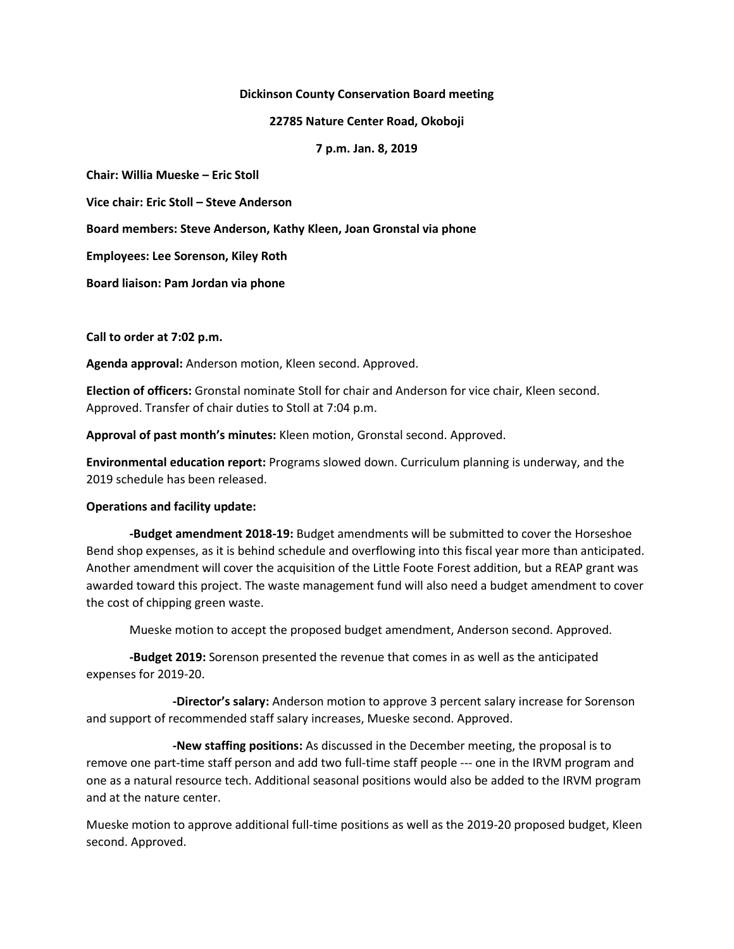### **Dickinson County Conservation Board meeting**

**22785 Nature Center Road, Okoboji**

**7 p.m. Jan. 8, 2019**

**Chair: Willia Mueske – Eric Stoll**

**Vice chair: Eric Stoll – Steve Anderson**

**Board members: Steve Anderson, Kathy Kleen, Joan Gronstal via phone**

**Employees: Lee Sorenson, Kiley Roth**

**Board liaison: Pam Jordan via phone**

**Call to order at 7:02 p.m.**

**Agenda approval:** Anderson motion, Kleen second. Approved.

**Election of officers:** Gronstal nominate Stoll for chair and Anderson for vice chair, Kleen second. Approved. Transfer of chair duties to Stoll at 7:04 p.m.

**Approval of past month's minutes:** Kleen motion, Gronstal second. Approved.

**Environmental education report:** Programs slowed down. Curriculum planning is underway, and the 2019 schedule has been released.

## **Operations and facility update:**

**-Budget amendment 2018-19:** Budget amendments will be submitted to cover the Horseshoe Bend shop expenses, as it is behind schedule and overflowing into this fiscal year more than anticipated. Another amendment will cover the acquisition of the Little Foote Forest addition, but a REAP grant was awarded toward this project. The waste management fund will also need a budget amendment to cover the cost of chipping green waste.

Mueske motion to accept the proposed budget amendment, Anderson second. Approved.

**-Budget 2019:** Sorenson presented the revenue that comes in as well as the anticipated expenses for 2019-20.

**-Director's salary:** Anderson motion to approve 3 percent salary increase for Sorenson and support of recommended staff salary increases, Mueske second. Approved.

**-New staffing positions:** As discussed in the December meeting, the proposal is to remove one part-time staff person and add two full-time staff people --- one in the IRVM program and one as a natural resource tech. Additional seasonal positions would also be added to the IRVM program and at the nature center.

Mueske motion to approve additional full-time positions as well as the 2019-20 proposed budget, Kleen second. Approved.